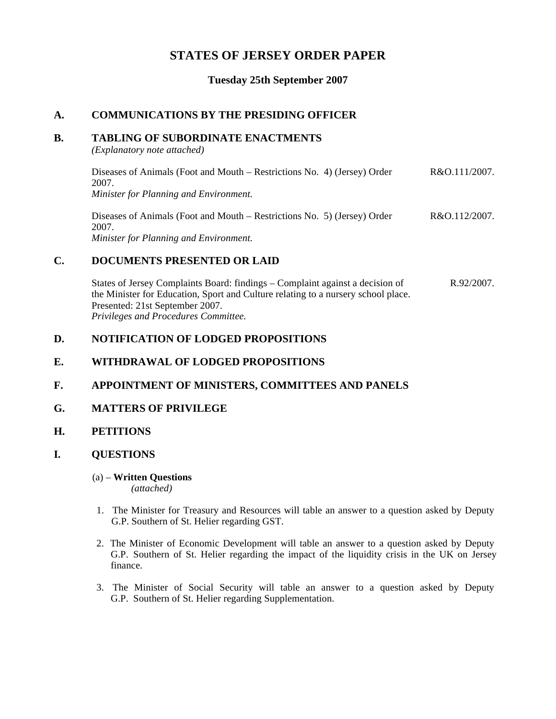# **STATES OF JERSEY ORDER PAPER**

**Tuesday 25th September 2007**

# **A. COMMUNICATIONS BY THE PRESIDING OFFICER**

#### **B. TABLING OF SUBORDINATE ENACTMENTS**

*(Explanatory note attached)*

Diseases of Animals (Foot and Mouth – Restrictions No. 4) (Jersey) Order 2007. *Minister for Planning and Environment.* R&O.111/2007.

Diseases of Animals (Foot and Mouth – Restrictions No. 5) (Jersey) Order 2007. *Minister for Planning and Environment.* R&O.112/2007.

## **C. DOCUMENTS PRESENTED OR LAID**

States of Jersey Complaints Board: findings – Complaint against a decision of the Minister for Education, Sport and Culture relating to a nursery school place. Presented: 21st September 2007. *Privileges and Procedures Committee.* R.92/2007.

### **D. NOTIFICATION OF LODGED PROPOSITIONS**

### **E. WITHDRAWAL OF LODGED PROPOSITIONS**

### **F. APPOINTMENT OF MINISTERS, COMMITTEES AND PANELS**

### **G. MATTERS OF PRIVILEGE**

### **H. PETITIONS**

### **I. QUESTIONS**

#### (a) – **Written Questions** *(attached)*

- 1. The Minister for Treasury and Resources will table an answer to a question asked by Deputy G.P. Southern of St. Helier regarding GST.
- 2. The Minister of Economic Development will table an answer to a question asked by Deputy G.P. Southern of St. Helier regarding the impact of the liquidity crisis in the UK on Jersey finance.
- 3. The Minister of Social Security will table an answer to a question asked by Deputy G.P. Southern of St. Helier regarding Supplementation.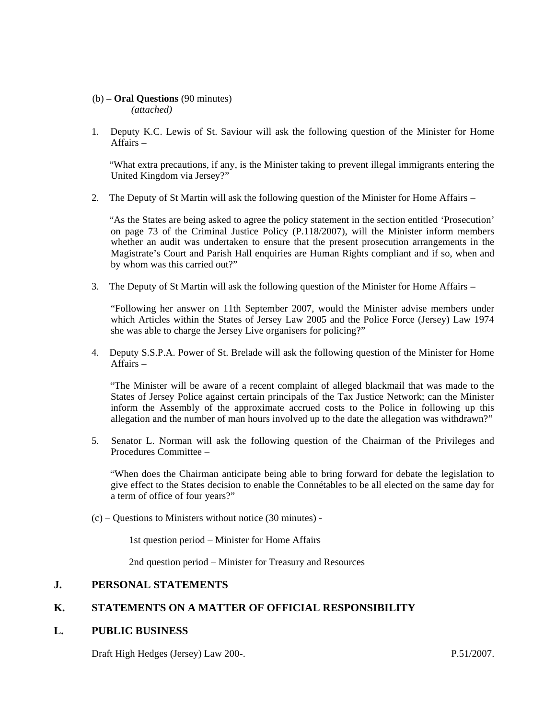#### (b) – **Oral Questions** (90 minutes) *(attached)*

1. Deputy K.C. Lewis of St. Saviour will ask the following question of the Minister for Home Affairs –

 "What extra precautions, if any, is the Minister taking to prevent illegal immigrants entering the United Kingdom via Jersey?"

2. The Deputy of St Martin will ask the following question of the Minister for Home Affairs –

 "As the States are being asked to agree the policy statement in the section entitled 'Prosecution' on page 73 of the Criminal Justice Policy (P.118/2007), will the Minister inform members whether an audit was undertaken to ensure that the present prosecution arrangements in the Magistrate's Court and Parish Hall enquiries are Human Rights compliant and if so, when and by whom was this carried out?"

3. The Deputy of St Martin will ask the following question of the Minister for Home Affairs –

 "Following her answer on 11th September 2007, would the Minister advise members under which Articles within the States of Jersey Law 2005 and the Police Force (Jersey) Law 1974 she was able to charge the Jersey Live organisers for policing?"

4. Deputy S.S.P.A. Power of St. Brelade will ask the following question of the Minister for Home Affairs –

 "The Minister will be aware of a recent complaint of alleged blackmail that was made to the States of Jersey Police against certain principals of the Tax Justice Network; can the Minister inform the Assembly of the approximate accrued costs to the Police in following up this allegation and the number of man hours involved up to the date the allegation was withdrawn?"

5. Senator L. Norman will ask the following question of the Chairman of the Privileges and Procedures Committee –

 "When does the Chairman anticipate being able to bring forward for debate the legislation to give effect to the States decision to enable the Connétables to be all elected on the same day for a term of office of four years?"

(c) – Questions to Ministers without notice (30 minutes) -

1st question period – Minister for Home Affairs

2nd question period – Minister for Treasury and Resources

#### **J. PERSONAL STATEMENTS**

### **K. STATEMENTS ON A MATTER OF OFFICIAL RESPONSIBILITY**

#### **L. PUBLIC BUSINESS**

Draft High Hedges (Jersey) Law 200-. P.51/2007.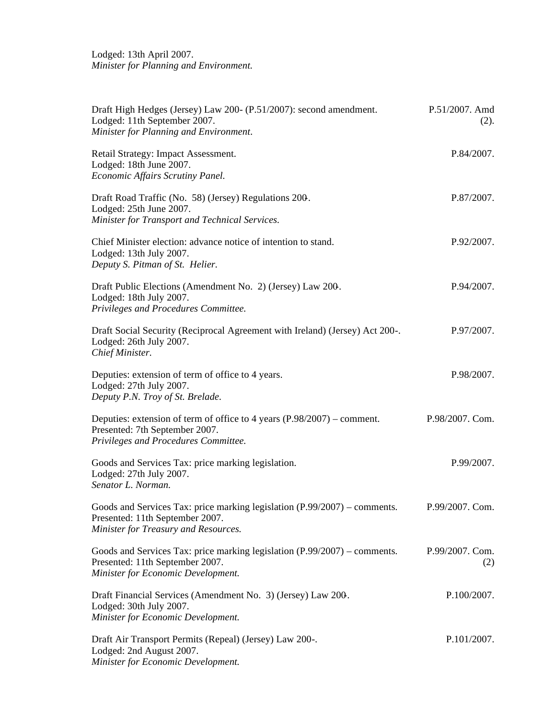Lodged: 13th April 2007. *Minister for Planning and Environment.*

| Draft High Hedges (Jersey) Law 200- (P.51/2007): second amendment.<br>Lodged: 11th September 2007.<br>Minister for Planning and Environment.           | P.51/2007. Amd<br>(2). |
|--------------------------------------------------------------------------------------------------------------------------------------------------------|------------------------|
| Retail Strategy: Impact Assessment.<br>Lodged: 18th June 2007.<br>Economic Affairs Scrutiny Panel.                                                     | P.84/2007.             |
| Draft Road Traffic (No. 58) (Jersey) Regulations 200.<br>Lodged: 25th June 2007.<br>Minister for Transport and Technical Services.                     | P.87/2007.             |
| Chief Minister election: advance notice of intention to stand.<br>Lodged: 13th July 2007.<br>Deputy S. Pitman of St. Helier.                           | P.92/2007.             |
| Draft Public Elections (Amendment No. 2) (Jersey) Law 200.<br>Lodged: 18th July 2007.<br>Privileges and Procedures Committee.                          | P.94/2007.             |
| Draft Social Security (Reciprocal Agreement with Ireland) (Jersey) Act 200-.<br>Lodged: 26th July 2007.<br>Chief Minister.                             | P.97/2007.             |
| Deputies: extension of term of office to 4 years.<br>Lodged: 27th July 2007.<br>Deputy P.N. Troy of St. Brelade.                                       | P.98/2007.             |
| Deputies: extension of term of office to 4 years $(P.98/2007)$ – comment.<br>Presented: 7th September 2007.<br>Privileges and Procedures Committee.    | P.98/2007. Com.        |
| Goods and Services Tax: price marking legislation.<br>Lodged: 27th July 2007.<br>Senator L. Norman.                                                    | P.99/2007.             |
| Goods and Services Tax: price marking legislation $(P.99/2007)$ – comments.<br>Presented: 11th September 2007.<br>Minister for Treasury and Resources. | P.99/2007. Com.        |
| Goods and Services Tax: price marking legislation $(P.99/2007)$ – comments.<br>Presented: 11th September 2007.<br>Minister for Economic Development.   | P.99/2007. Com.<br>(2) |
| Draft Financial Services (Amendment No. 3) (Jersey) Law 200.<br>Lodged: 30th July 2007.<br>Minister for Economic Development.                          | P.100/2007.            |
| Draft Air Transport Permits (Repeal) (Jersey) Law 200-.<br>Lodged: 2nd August 2007.<br>Minister for Economic Development.                              | P.101/2007.            |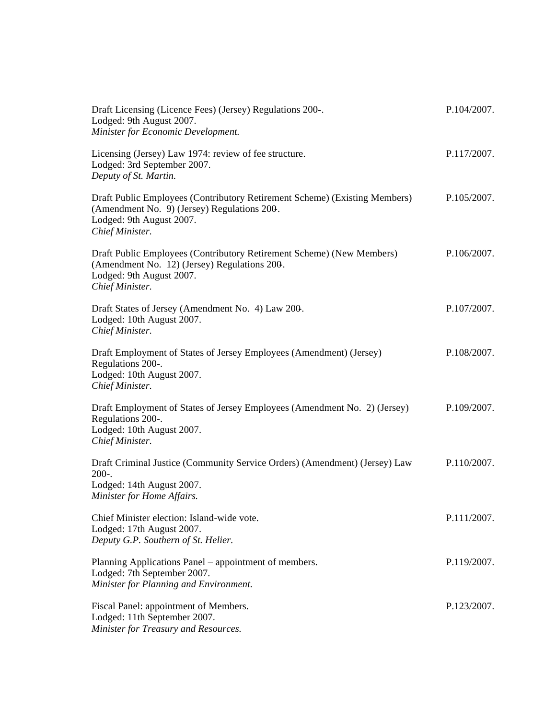| Draft Licensing (Licence Fees) (Jersey) Regulations 200-.<br>Lodged: 9th August 2007.<br>Minister for Economic Development.                                              | P.104/2007. |
|--------------------------------------------------------------------------------------------------------------------------------------------------------------------------|-------------|
| Licensing (Jersey) Law 1974: review of fee structure.<br>Lodged: 3rd September 2007.<br>Deputy of St. Martin.                                                            | P.117/2007. |
| Draft Public Employees (Contributory Retirement Scheme) (Existing Members)<br>(Amendment No. 9) (Jersey) Regulations 200.<br>Lodged: 9th August 2007.<br>Chief Minister. | P.105/2007. |
| Draft Public Employees (Contributory Retirement Scheme) (New Members)<br>(Amendment No. 12) (Jersey) Regulations 200.<br>Lodged: 9th August 2007.<br>Chief Minister.     | P.106/2007. |
| Draft States of Jersey (Amendment No. 4) Law 200.<br>Lodged: 10th August 2007.<br>Chief Minister.                                                                        | P.107/2007. |
| Draft Employment of States of Jersey Employees (Amendment) (Jersey)<br>Regulations 200-.<br>Lodged: 10th August 2007.<br>Chief Minister.                                 | P.108/2007. |
| Draft Employment of States of Jersey Employees (Amendment No. 2) (Jersey)<br>Regulations 200-.<br>Lodged: 10th August 2007.<br>Chief Minister.                           | P.109/2007. |
| Draft Criminal Justice (Community Service Orders) (Amendment) (Jersey) Law<br>$200-.$<br>Lodged: 14th August 2007.<br>Minister for Home Affairs.                         | P.110/2007. |
| Chief Minister election: Island-wide vote.<br>Lodged: 17th August 2007.<br>Deputy G.P. Southern of St. Helier.                                                           | P.111/2007. |
| Planning Applications Panel – appointment of members.<br>Lodged: 7th September 2007.<br>Minister for Planning and Environment.                                           | P.119/2007. |
| Fiscal Panel: appointment of Members.<br>Lodged: 11th September 2007.<br>Minister for Treasury and Resources.                                                            | P.123/2007. |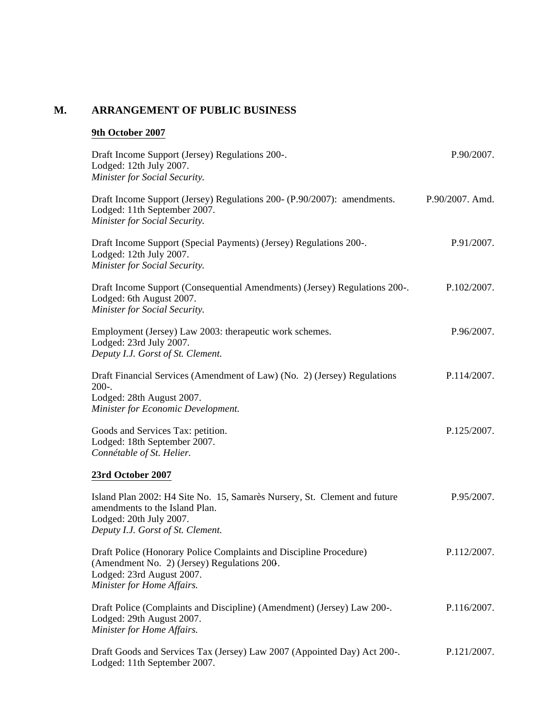# **M. ARRANGEMENT OF PUBLIC BUSINESS**

# **9th October 2007**

| Draft Income Support (Jersey) Regulations 200-.<br>Lodged: 12th July 2007.<br>Minister for Social Security.                                                                  | P.90/2007.      |
|------------------------------------------------------------------------------------------------------------------------------------------------------------------------------|-----------------|
| Draft Income Support (Jersey) Regulations 200- (P.90/2007): amendments.<br>Lodged: 11th September 2007.<br>Minister for Social Security.                                     | P.90/2007. Amd. |
| Draft Income Support (Special Payments) (Jersey) Regulations 200-.<br>Lodged: 12th July 2007.<br>Minister for Social Security.                                               | P.91/2007.      |
| Draft Income Support (Consequential Amendments) (Jersey) Regulations 200-.<br>Lodged: 6th August 2007.<br>Minister for Social Security.                                      | P.102/2007.     |
| Employment (Jersey) Law 2003: therapeutic work schemes.<br>Lodged: 23rd July 2007.<br>Deputy I.J. Gorst of St. Clement.                                                      | P.96/2007.      |
| Draft Financial Services (Amendment of Law) (No. 2) (Jersey) Regulations<br>$200-.$<br>Lodged: 28th August 2007.<br>Minister for Economic Development.                       | P.114/2007.     |
| Goods and Services Tax: petition.<br>Lodged: 18th September 2007.<br>Connétable of St. Helier.                                                                               | P.125/2007.     |
| 23rd October 2007                                                                                                                                                            |                 |
| Island Plan 2002: H4 Site No. 15, Samarès Nursery, St. Clement and future<br>amendments to the Island Plan.<br>Lodged: 20th July 2007.<br>Deputy I.J. Gorst of St. Clement.  | P.95/2007.      |
| Draft Police (Honorary Police Complaints and Discipline Procedure)<br>(Amendment No. 2) (Jersey) Regulations 200.<br>Lodged: 23rd August 2007.<br>Minister for Home Affairs. | P.112/2007.     |
| Draft Police (Complaints and Discipline) (Amendment) (Jersey) Law 200-.<br>Lodged: 29th August 2007.<br>Minister for Home Affairs.                                           | P.116/2007.     |
| Draft Goods and Services Tax (Jersey) Law 2007 (Appointed Day) Act 200-.<br>Lodged: 11th September 2007.                                                                     | P.121/2007.     |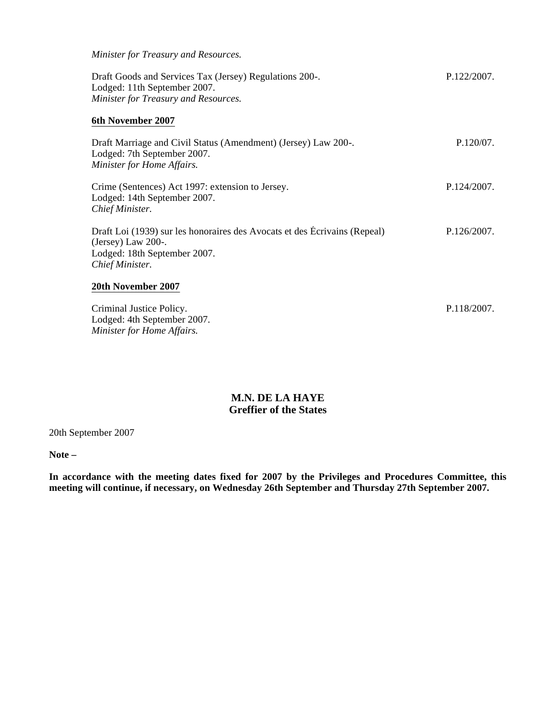*Minister for Treasury and Resources.* Draft Goods and Services Tax (Jersey) Regulations 200-. Lodged: 11th September 2007. *Minister for Treasury and Resources.* P.122/2007. **6th November 2007** Draft Marriage and Civil Status (Amendment) (Jersey) Law 200-. Lodged: 7th September 2007. *Minister for Home Affairs.* P.120/07. Crime (Sentences) Act 1997: extension to Jersey. Lodged: 14th September 2007. *Chief Minister.* P.124/2007. Draft Loi (1939) sur les honoraires des Avocats et des Écrivains (Repeal) (Jersey) Law 200-. Lodged: 18th September 2007. *Chief Minister.* P.126/2007. **20th November 2007** Criminal Justice Policy. Lodged: 4th September 2007. P.118/2007.

> **M.N. DE LA HAYE Greffier of the States**

20th September 2007

*Minister for Home Affairs.*

**Note –**

**In accordance with the meeting dates fixed for 2007 by the Privileges and Procedures Committee, this meeting will continue, if necessary, on Wednesday 26th September and Thursday 27th September 2007.**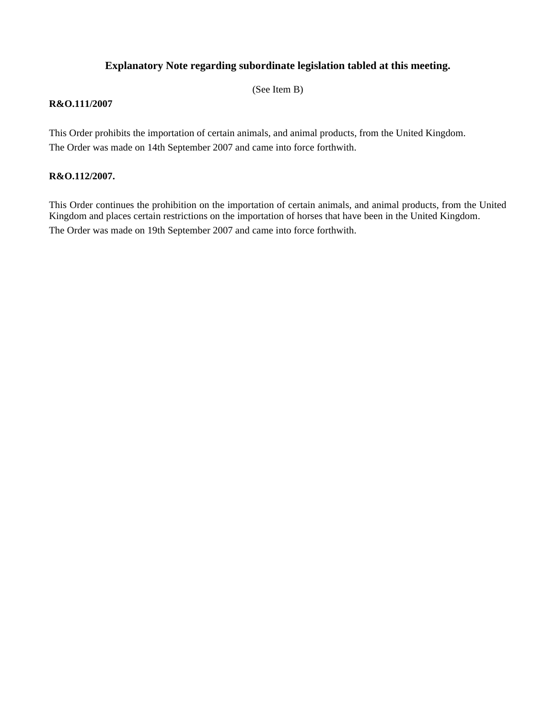# **Explanatory Note regarding subordinate legislation tabled at this meeting.**

(See Item B)

#### **R&O.111/2007**

This Order prohibits the importation of certain animals, and animal products, from the United Kingdom. The Order was made on 14th September 2007 and came into force forthwith.

#### **R&O.112/2007.**

This Order continues the prohibition on the importation of certain animals, and animal products, from the United Kingdom and places certain restrictions on the importation of horses that have been in the United Kingdom. The Order was made on 19th September 2007 and came into force forthwith.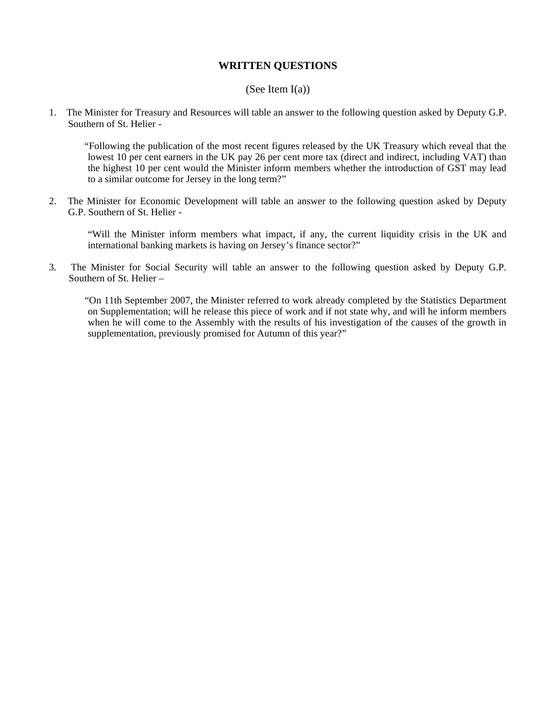### **WRITTEN QUESTIONS**

#### (See Item  $I(a)$ )

1. The Minister for Treasury and Resources will table an answer to the following question asked by Deputy G.P. Southern of St. Helier -

 "Following the publication of the most recent figures released by the UK Treasury which reveal that the lowest 10 per cent earners in the UK pay 26 per cent more tax (direct and indirect, including VAT) than the highest 10 per cent would the Minister inform members whether the introduction of GST may lead to a similar outcome for Jersey in the long term?"

2. The Minister for Economic Development will table an answer to the following question asked by Deputy G.P. Southern of St. Helier -

 "Will the Minister inform members what impact, if any, the current liquidity crisis in the UK and international banking markets is having on Jersey's finance sector?"

3. The Minister for Social Security will table an answer to the following question asked by Deputy G.P. Southern of St. Helier –

 "On 11th September 2007, the Minister referred to work already completed by the Statistics Department on Supplementation; will he release this piece of work and if not state why, and will he inform members when he will come to the Assembly with the results of his investigation of the causes of the growth in supplementation, previously promised for Autumn of this year?"